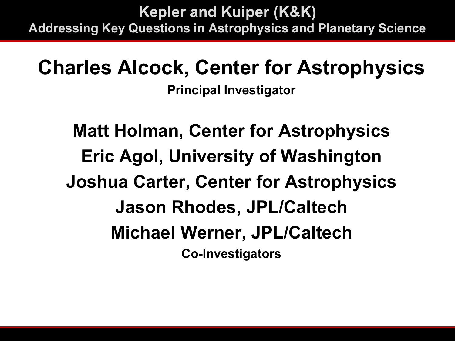**Kepler and Kuiper (K&K) Addressing Key Questions in Astrophysics and Planetary Science**

### **Charles Alcock, Center for Astrophysics**

**Principal Investigator**

**Matt Holman, Center for Astrophysics Eric Agol, University of Washington Joshua Carter, Center for Astrophysics Jason Rhodes, JPL/Caltech Michael Werner, JPL/Caltech Co-Investigators**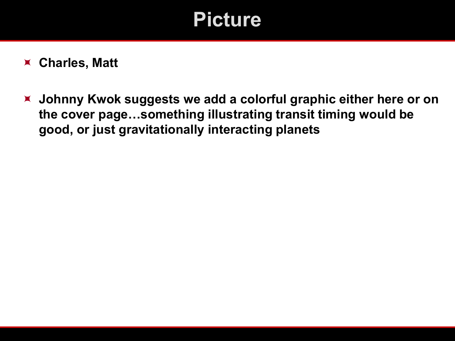### **Picture**

#### **Charles, Matt**

 **Johnny Kwok suggests we add a colorful graphic either here or on the cover page…something illustrating transit timing would be good, or just gravitationally interacting planets**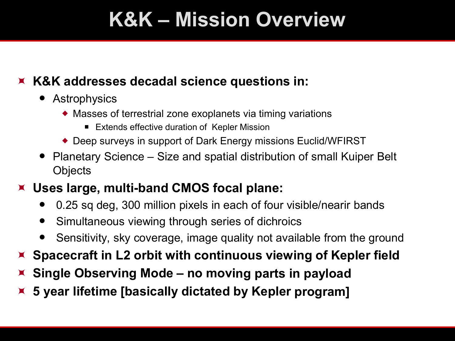## **K&K – Mission Overview**

#### **K&K addresses decadal science questions in:**

- Astrophysics
	- Masses of terrestrial zone exoplanets via timing variations
		- Extends effective duration of Kepler Mission
	- ◆ Deep surveys in support of Dark Energy missions Euclid/WFIRST
- Planetary Science Size and spatial distribution of small Kuiper Belt **Objects**
- **Uses large, multi-band CMOS focal plane:**
	- 0.25 sq deg, 300 million pixels in each of four visible/nearir bands
	- Simultaneous viewing through series of dichroics
	- Sensitivity, sky coverage, image quality not available from the ground
- **Spacecraft in L2 orbit with continuous viewing of Kepler field**
- **Single Observing Mode no moving parts in payload**
- **5 year lifetime [basically dictated by Kepler program]**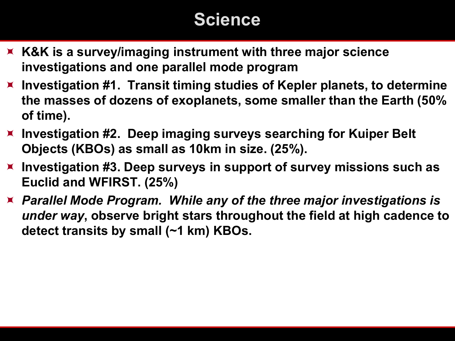### **Science**

- **K&K is a survey/imaging instrument with three major science investigations and one parallel mode program**
- **Investigation #1. Transit timing studies of Kepler planets, to determine the masses of dozens of exoplanets, some smaller than the Earth (50% of time).**
- **Investigation #2. Deep imaging surveys searching for Kuiper Belt Objects (KBOs) as small as 10km in size. (25%).**
- **Investigation #3. Deep surveys in support of survey missions such as Euclid and WFIRST. (25%)**
- *Parallel Mode Program.**While any of the three major investigations is under way***, observe bright stars throughout the field at high cadence to detect transits by small (~1 km) KBOs.**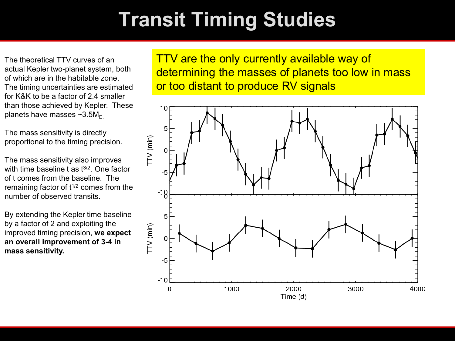# **Transit Timing Studies**

The theoretical TTV curves of an actual Kepler two-planet system, both of which are in the habitable zone. The timing uncertainties are estimated for K&K to be a factor of 2.4 smaller than those achieved by Kepler. These planets have masses  $\sim 3.5 M_{\odot}$ 

The mass sensitivity is directly proportional to the timing precision.

The mass sensitivity also improves with time baseline  $t$  as  $t^{3/2}$ . One factor of t comes from the baseline. The remaining factor of  $t^{1/2}$  comes from the number of observed transits.

By extending the Kepler time baseline by a factor of 2 and exploiting the improved timing precision, **we expect an overall improvement of 3-4 in mass sensitivity.**

TTV are the only currently available way of determining the masses of planets too low in mass or too distant to produce RV signals

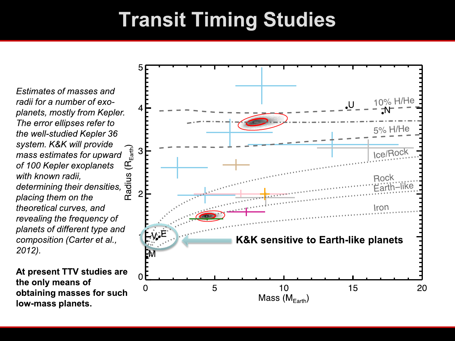### **Transit Timing Studies**

Estimates of masses and radii for a number of exoplanets, mostly from Kepler. The error ellipses refer to the well-studied Kepler 36 system. K&K will provide mass estimates for upward of 100 Kepler exoplanets with known radii, determining their densities, placing them on the theoretical curves, and revealing the frequency of planets of different type and composition (Carter et al.,  $2012$ ).

At present TTV studies are the only means of obtaining masses for such low-mass planets.

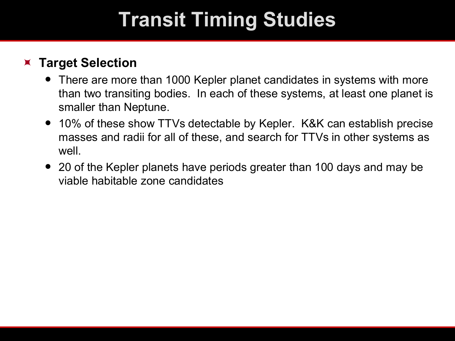# **Transit Timing Studies**

#### **Target Selection**

- There are more than 1000 Kepler planet candidates in systems with more than two transiting bodies. In each of these systems, at least one planet is smaller than Neptune.
- 10% of these show TTVs detectable by Kepler. K&K can establish precise masses and radii for all of these, and search for TTVs in other systems as well.
- 20 of the Kepler planets have periods greater than 100 days and may be viable habitable zone candidates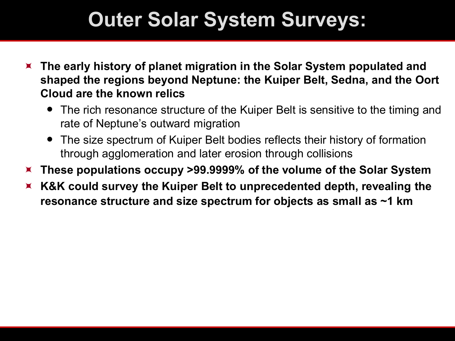- **The early history of planet migration in the Solar System populated and shaped the regions beyond Neptune: the Kuiper Belt, Sedna, and the Oort Cloud are the known relics** 
	- The rich resonance structure of the Kuiper Belt is sensitive to the timing and rate of Neptune's outward migration
	- The size spectrum of Kuiper Belt bodies reflects their history of formation through agglomeration and later erosion through collisions
- **These populations occupy >99.9999% of the volume of the Solar System**
- **K&K could survey the Kuiper Belt to unprecedented depth, revealing the resonance structure and size spectrum for objects as small as ~1 km**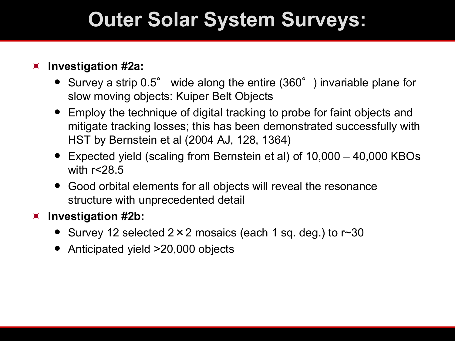#### **Investigation #2a:**

- Survey a strip 0.5° wide along the entire (360°) invariable plane for slow moving objects: Kuiper Belt Objects
- Employ the technique of digital tracking to probe for faint objects and mitigate tracking losses; this has been demonstrated successfully with HST by Bernstein et al (2004 AJ, 128, 1364)
- Expected yield (scaling from Bernstein et al) of 10,000 40,000 KBOs with r<28.5
- Good orbital elements for all objects will reveal the resonance structure with unprecedented detail

#### **Investigation #2b:**

- Survey 12 selected  $2 \times 2$  mosaics (each 1 sq. deg.) to r $\sim 30$
- Anticipated yield >20,000 objects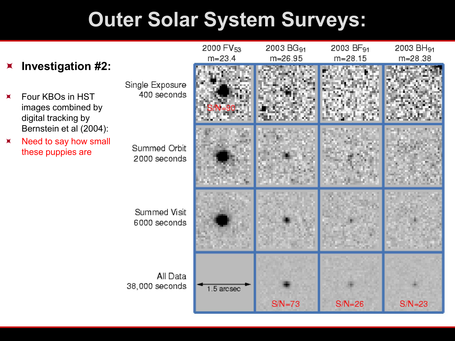#### **Investigation #2:**

 Four KBOs in HST images combined by digital tracking by Bernstein et al (2004):

 $x$  Need to say how small these puppies are

Single Exposure 400 seconds

Summed Visit

38,000 seconds

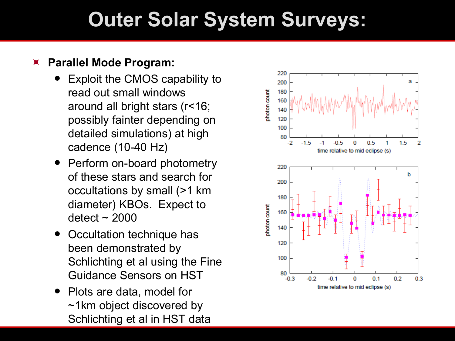#### **Parallel Mode Program:**

- Exploit the CMOS capability to read out small windows around all bright stars (r<16; possibly fainter depending on detailed simulations) at high cadence (10-40 Hz)
- Perform on-board photometry of these stars and search for occultations by small (>1 km diameter) KBOs. Expect to  $\text{detect} \sim 2000$
- Occultation technique has been demonstrated by Schlichting et al using the Fine Guidance Sensors on HST
- Plots are data, model for ~1km object discovered by Schlichting et al in HST data

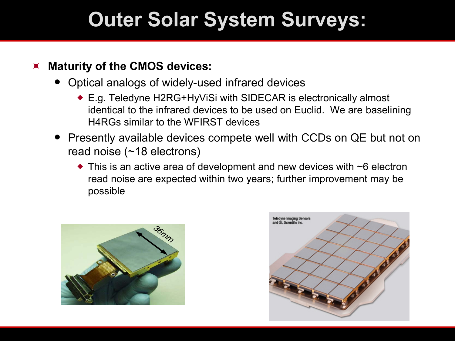#### **Maturity of the CMOS devices:**

- Optical analogs of widely-used infrared devices
	- E.g. Teledyne H2RG+HyViSi with SIDECAR is electronically almost identical to the infrared devices to be used on Euclid. We are baselining H4RGs similar to the WFIRST devices
- Presently available devices compete well with CCDs on QE but not on read noise (~18 electrons)
	- $\bullet$  This is an active area of development and new devices with  $\sim$ 6 electron read noise are expected within two years; further improvement may be possible



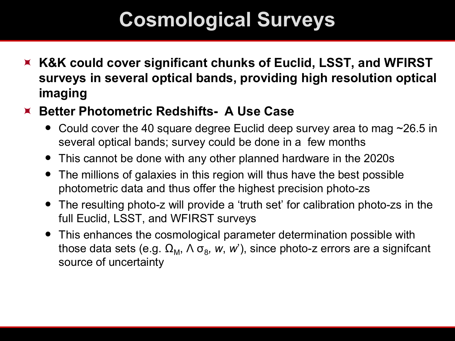## **Cosmological Surveys**

- **K&K could cover significant chunks of Euclid, LSST, and WFIRST surveys in several optical bands, providing high resolution optical imaging**
- **Better Photometric Redshifts- A Use Case**
	- Could cover the 40 square degree Euclid deep survey area to mag  $\sim$ 26.5 in several optical bands; survey could be done in a few months
	- This cannot be done with any other planned hardware in the 2020s
	- The millions of galaxies in this region will thus have the best possible photometric data and thus offer the highest precision photo-zs
	- The resulting photo-z will provide a 'truth set' for calibration photo-zs in the full Euclid, LSST, and WFIRST surveys
	- This enhances the cosmological parameter determination possible with those data sets (e.g.  $\Omega_M$ ,  $\Lambda \sigma_8$ , *w*, *w*'), since photo-z errors are a signifcant source of uncertainty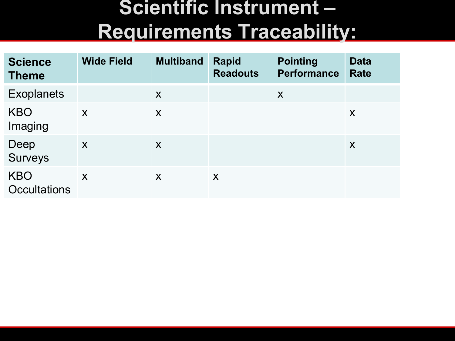### **Scientific Instrument – Requirements Traceability:**

| <b>Science</b><br><b>Theme</b>    | <b>Wide Field</b> | <b>Multiband</b> | <b>Rapid</b><br><b>Readouts</b> | <b>Pointing</b><br><b>Performance</b> | <b>Data</b><br><b>Rate</b> |
|-----------------------------------|-------------------|------------------|---------------------------------|---------------------------------------|----------------------------|
| <b>Exoplanets</b>                 |                   | X                |                                 | X                                     |                            |
| <b>KBO</b><br>Imaging             | X                 | X                |                                 |                                       | X                          |
| Deep<br><b>Surveys</b>            | X                 | X                |                                 |                                       | X                          |
| <b>KBO</b><br><b>Occultations</b> | X                 | X                | X                               |                                       |                            |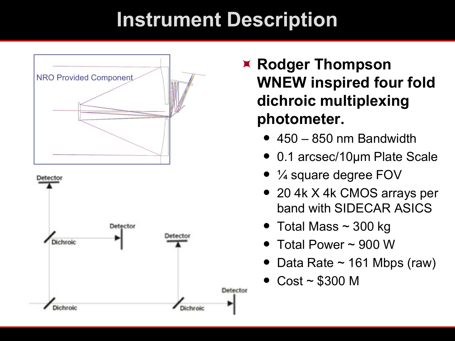### **Instrument Description**





- **Rodger Thompson WNEW inspired four fold dichroic multiplexing photometer.**
	- $\bullet$  450 850 nm Bandwidth
	- 0.1 arcsec/10µm Plate Scale
	- ¼ square degree FOV
	- 20 4k X 4k CMOS arrays per band with SIDECAR ASICS
	- $\bullet~$  Total Mass ~ 300 kg
	- Total Power ~ 900 W
	- Data Rate  $\sim$  161 Mbps (raw)
	- Cost ~ \$300 M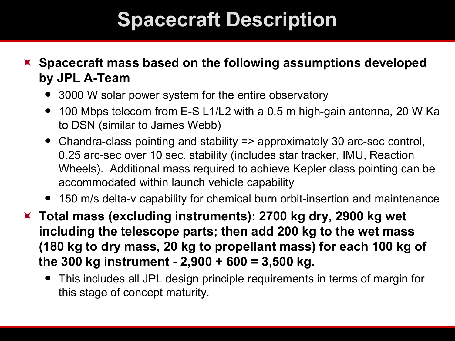### **Spacecraft Description**

 **Spacecraft mass based on the following assumptions developed by JPL A-Team**

- 3000 W solar power system for the entire observatory
- 100 Mbps telecom from E-S L1/L2 with a 0.5 m high-gain antenna, 20 W Ka to DSN (similar to James Webb)
- Chandra-class pointing and stability => approximately 30 arc-sec control, 0.25 arc-sec over 10 sec. stability (includes star tracker, IMU, Reaction Wheels). Additional mass required to achieve Kepler class pointing can be accommodated within launch vehicle capability
- 150 m/s delta-v capability for chemical burn orbit-insertion and maintenance

 **Total mass (excluding instruments): 2700 kg dry, 2900 kg wet including the telescope parts; then add 200 kg to the wet mass (180 kg to dry mass, 20 kg to propellant mass) for each 100 kg of the 300 kg instrument - 2,900 + 600 = 3,500 kg.**

 This includes all JPL design principle requirements in terms of margin for this stage of concept maturity.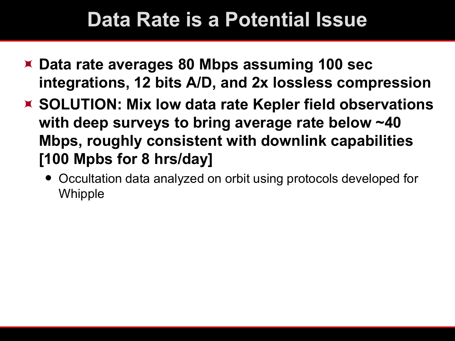### **Data Rate is a Potential Issue**

- **Data rate averages 80 Mbps assuming 100 sec integrations, 12 bits A/D, and 2x lossless compression**
- **SOLUTION: Mix low data rate Kepler field observations with deep surveys to bring average rate below ~40 Mbps, roughly consistent with downlink capabilities [100 Mpbs for 8 hrs/day]**
	- Occultation data analyzed on orbit using protocols developed for Whipple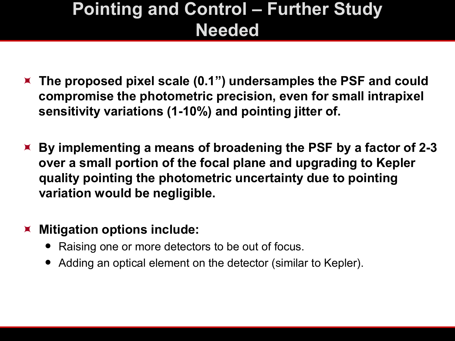### **Pointing and Control – Further Study Needed**

- **The proposed pixel scale (0.1") undersamples the PSF and could compromise the photometric precision, even for small intrapixel sensitivity variations (1-10%) and pointing jitter of.**
- **By implementing a means of broadening the PSF by a factor of 2-3 over a small portion of the focal plane and upgrading to Kepler quality pointing the photometric uncertainty due to pointing variation would be negligible.**

#### **Mitigation options include:**

- Raising one or more detectors to be out of focus.
- Adding an optical element on the detector (similar to Kepler).